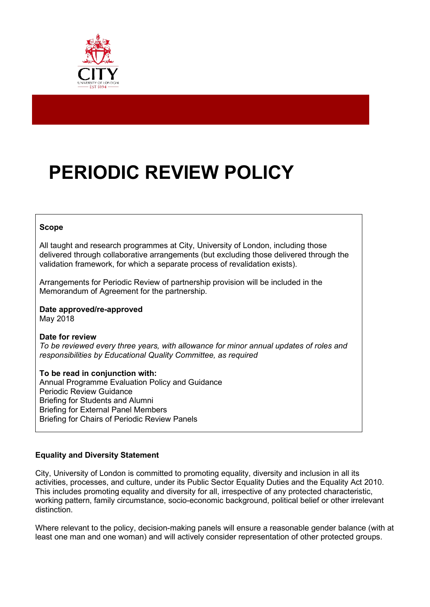

# **PERIODIC REVIEW POLICY**

#### **Scope**

All taught and research programmes at City, University of London, including those delivered through collaborative arrangements (but excluding those delivered through the validation framework, for which a separate process of revalidation exists).

Arrangements for Periodic Review of partnership provision will be included in the Memorandum of Agreement for the partnership.

#### **Date approved/re-approved** May 2018

# **Date for review**

*To be reviewed every three years, with allowance for minor annual updates of roles and responsibilities by Educational Quality Committee, as required*

# **To be read in conjunction with:**

Annual Programme Evaluation Policy and Guidance Periodic Review Guidance Briefing for Students and Alumni Briefing for External Panel Members Briefing for Chairs of Periodic Review Panels

# **Equality and Diversity Statement**

City, University of London is committed to promoting equality, diversity and inclusion in all its activities, processes, and culture, under its Public Sector Equality Duties and the Equality Act 2010. This includes promoting equality and diversity for all, irrespective of any protected characteristic, working pattern, family circumstance, socio-economic background, political belief or other irrelevant distinction.

Where relevant to the policy, decision-making panels will ensure a reasonable gender balance (with at least one man and one woman) and will actively consider representation of other protected groups.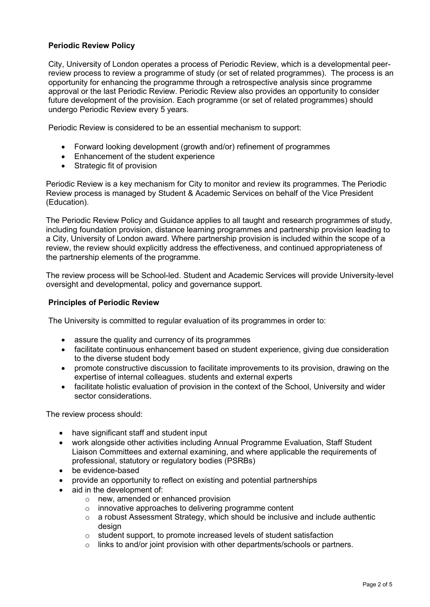## **Periodic Review Policy**

City, University of London operates a process of Periodic Review, which is a developmental peerreview process to review a programme of study (or set of related programmes). The process is an opportunity for enhancing the programme through a retrospective analysis since programme approval or the last Periodic Review. Periodic Review also provides an opportunity to consider future development of the provision. Each programme (or set of related programmes) should undergo Periodic Review every 5 years.

Periodic Review is considered to be an essential mechanism to support:

- Forward looking development (growth and/or) refinement of programmes
- Enhancement of the student experience
- Strategic fit of provision

Periodic Review is a key mechanism for City to monitor and review its programmes. The Periodic Review process is managed by Student & Academic Services on behalf of the Vice President (Education).

The Periodic Review Policy and Guidance applies to all taught and research programmes of study, including foundation provision, distance learning programmes and partnership provision leading to a City, University of London award. Where partnership provision is included within the scope of a review, the review should explicitly address the effectiveness, and continued appropriateness of the partnership elements of the programme.

The review process will be School-led. Student and Academic Services will provide University-level oversight and developmental, policy and governance support.

#### **Principles of Periodic Review**

The University is committed to regular evaluation of its programmes in order to:

- assure the quality and currency of its programmes
- facilitate continuous enhancement based on student experience, giving due consideration to the diverse student body
- promote constructive discussion to facilitate improvements to its provision, drawing on the expertise of internal colleagues. students and external experts
- facilitate holistic evaluation of provision in the context of the School, University and wider sector considerations.

The review process should:

- have significant staff and student input
- work alongside other activities including Annual Programme Evaluation, Staff Student Liaison Committees and external examining, and where applicable the requirements of professional, statutory or regulatory bodies (PSRBs)
- be evidence-based
- provide an opportunity to reflect on existing and potential partnerships
- aid in the development of:
	- o new, amended or enhanced provision
	- o innovative approaches to delivering programme content
	- o a robust Assessment Strategy, which should be inclusive and include authentic design
	- o student support, to promote increased levels of student satisfaction
	- $\circ$  links to and/or joint provision with other departments/schools or partners.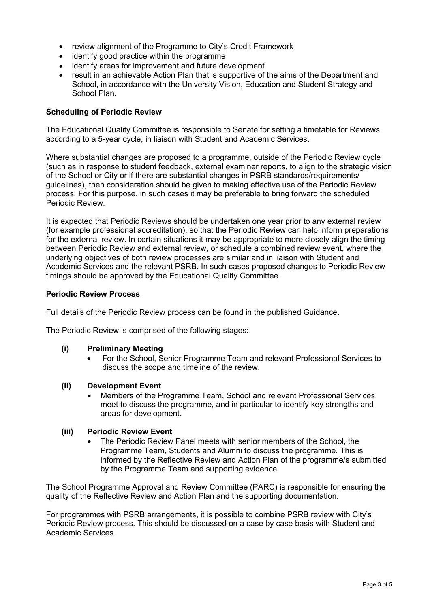- review alignment of the Programme to City's Credit Framework
- identify good practice within the programme
- identify areas for improvement and future development
- result in an achievable Action Plan that is supportive of the aims of the Department and School, in accordance with the University Vision, Education and Student Strategy and School Plan.

#### **Scheduling of Periodic Review**

The Educational Quality Committee is responsible to Senate for setting a timetable for Reviews according to a 5-year cycle, in liaison with Student and Academic Services.

Where substantial changes are proposed to a programme, outside of the Periodic Review cycle (such as in response to student feedback, external examiner reports, to align to the strategic vision of the School or City or if there are substantial changes in PSRB standards/requirements/ guidelines), then consideration should be given to making effective use of the Periodic Review process. For this purpose, in such cases it may be preferable to bring forward the scheduled Periodic Review.

It is expected that Periodic Reviews should be undertaken one year prior to any external review (for example professional accreditation), so that the Periodic Review can help inform preparations for the external review. In certain situations it may be appropriate to more closely align the timing between Periodic Review and external review, or schedule a combined review event, where the underlying objectives of both review processes are similar and in liaison with Student and Academic Services and the relevant PSRB. In such cases proposed changes to Periodic Review timings should be approved by the Educational Quality Committee.

#### **Periodic Review Process**

Full details of the Periodic Review process can be found in the published Guidance.

The Periodic Review is comprised of the following stages:

#### **(i) Preliminary Meeting**

• For the School, Senior Programme Team and relevant Professional Services to discuss the scope and timeline of the review.

#### **(ii) Development Event**

• Members of the Programme Team, School and relevant Professional Services meet to discuss the programme, and in particular to identify key strengths and areas for development.

#### **(iii) Periodic Review Event**

• The Periodic Review Panel meets with senior members of the School, the Programme Team, Students and Alumni to discuss the programme. This is informed by the Reflective Review and Action Plan of the programme/s submitted by the Programme Team and supporting evidence.

The School Programme Approval and Review Committee (PARC) is responsible for ensuring the quality of the Reflective Review and Action Plan and the supporting documentation.

For programmes with PSRB arrangements, it is possible to combine PSRB review with City's Periodic Review process. This should be discussed on a case by case basis with Student and Academic Services.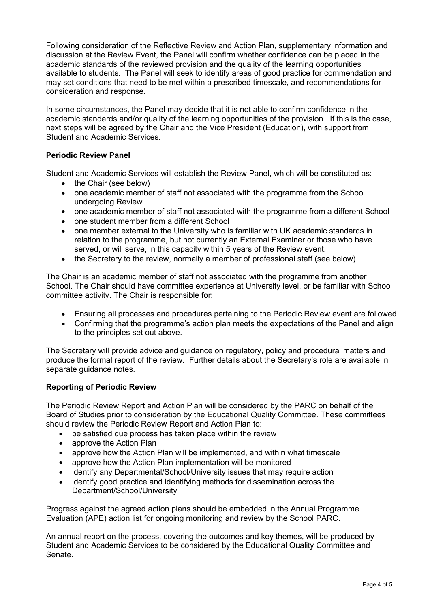Following consideration of the Reflective Review and Action Plan, supplementary information and discussion at the Review Event, the Panel will confirm whether confidence can be placed in the academic standards of the reviewed provision and the quality of the learning opportunities available to students. The Panel will seek to identify areas of good practice for commendation and may set conditions that need to be met within a prescribed timescale, and recommendations for consideration and response.

In some circumstances, the Panel may decide that it is not able to confirm confidence in the academic standards and/or quality of the learning opportunities of the provision. If this is the case, next steps will be agreed by the Chair and the Vice President (Education), with support from Student and Academic Services.

# **Periodic Review Panel**

Student and Academic Services will establish the Review Panel, which will be constituted as:

- the Chair (see below)
- one academic member of staff not associated with the programme from the School undergoing Review
- one academic member of staff not associated with the programme from a different School
- one student member from a different School
- one member external to the University who is familiar with UK academic standards in relation to the programme, but not currently an External Examiner or those who have served, or will serve, in this capacity within 5 years of the Review event.
- the Secretary to the review, normally a member of professional staff (see below).

The Chair is an academic member of staff not associated with the programme from another School. The Chair should have committee experience at University level, or be familiar with School committee activity. The Chair is responsible for:

- Ensuring all processes and procedures pertaining to the Periodic Review event are followed
- Confirming that the programme's action plan meets the expectations of the Panel and align to the principles set out above.

The Secretary will provide advice and guidance on regulatory, policy and procedural matters and produce the formal report of the review. Further details about the Secretary's role are available in separate guidance notes.

#### **Reporting of Periodic Review**

The Periodic Review Report and Action Plan will be considered by the PARC on behalf of the Board of Studies prior to consideration by the Educational Quality Committee. These committees should review the Periodic Review Report and Action Plan to:

- be satisfied due process has taken place within the review
- approve the Action Plan
- approve how the Action Plan will be implemented, and within what timescale
- approve how the Action Plan implementation will be monitored
- identify any Departmental/School/University issues that may require action
- identify good practice and identifying methods for dissemination across the Department/School/University

Progress against the agreed action plans should be embedded in the Annual Programme Evaluation (APE) action list for ongoing monitoring and review by the School PARC.

An annual report on the process, covering the outcomes and key themes, will be produced by Student and Academic Services to be considered by the Educational Quality Committee and Senate.